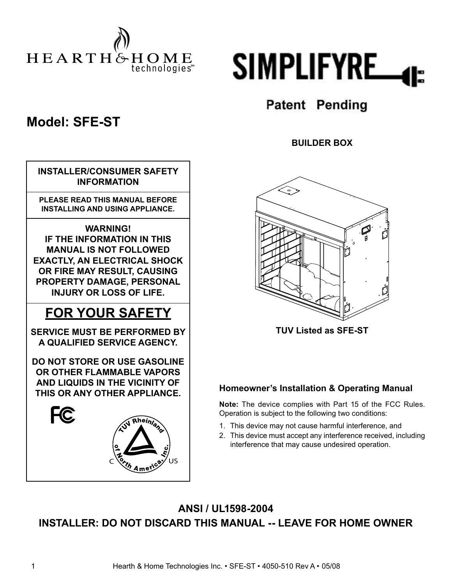



## **Model: SFE-ST**

|           | <b>INSTALLER/CONSUMER SAFETY</b><br><b>INFORMATION</b>                                                                                                                                                                     |
|-----------|----------------------------------------------------------------------------------------------------------------------------------------------------------------------------------------------------------------------------|
|           | <b>PLEASE READ THIS MANUAL BEFORE</b><br><b>INSTALLING AND USING APPLIANCE.</b>                                                                                                                                            |
|           | <b>WARNING!</b><br><b>IF THE INFORMATION IN THIS</b><br><b>MANUAL IS NOT FOLLOWED</b><br><b>EXACTLY, AN ELECTRICAL SHOCK</b><br>OR FIRE MAY RESULT, CAUSING<br>PROPERTY DAMAGE, PERSONAL<br><b>INJURY OR LOSS OF LIFE.</b> |
|           | <b>FOR YOUR SAFETY</b>                                                                                                                                                                                                     |
|           | <b>SERVICE MUST BE PERFORMED BY</b><br>A QUALIFIED SERVICE AGENCY.                                                                                                                                                         |
|           | <b>DO NOT STORE OR USE GASOLINE</b><br>OR OTHER FLAMMABLE VAPORS<br>AND LIQUIDS IN THE VICINITY OF<br>THIS OR ANY OTHER APPLIANCE.                                                                                         |
| <b>FC</b> | Rheinland<br><b>Z</b><br>Crth Ameri<br>IJς                                                                                                                                                                                 |

# **Patent Pending**

**BUILDER BOX**



**TUV Listed as SFE-ST**

#### **Homeowner's Installation & Operating Manual**

**Note:** The device complies with Part 15 of the FCC Rules. Operation is subject to the following two conditions:

- 1. This device may not cause harmful interference, and
- 2. This device must accept any interference received, including interference that may cause undesired operation.

### **ANSI / UL1598-2004 INSTALLER: DO NOT DISCARD THIS MANUAL -- LEAVE FOR HOME OWNER**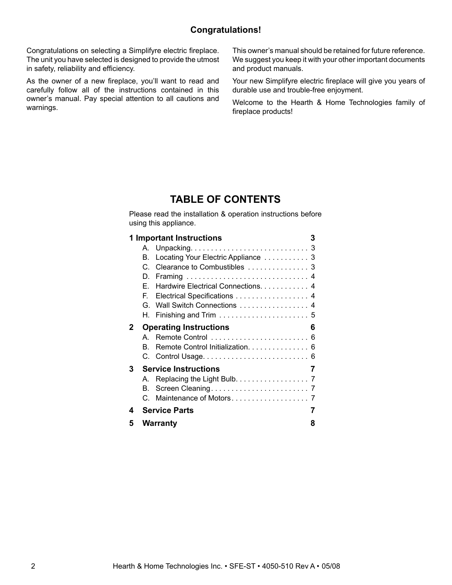#### **Congratulations!**

Congratulations on selecting a Simplifyre electric fireplace. The unit you have selected is designed to provide the utmost in safety, reliability and efficiency.

As the owner of a new fireplace, you'll want to read and carefully follow all of the instructions contained in this owner's manual. Pay special attention to all cautions and warnings.

This owner's manual should be retained for future reference. We suggest you keep it with your other important documents and product manuals.

Your new Simplifyre electric fireplace will give you years of durable use and trouble-free enjoyment.

Welcome to the Hearth & Home Technologies family of fireplace products!

#### **TABLE OF CONTENTS**

Please read the installation & operation instructions before using this appliance.

|   |    | 1 Important Instructions              | 3 |
|---|----|---------------------------------------|---|
|   |    |                                       |   |
|   | В. | Locating Your Electric Appliance  3   |   |
|   | C. |                                       |   |
|   | D. |                                       |   |
|   |    | E. Hardwire Electrical Connections. 4 |   |
|   | E. | Electrical Specifications 4           |   |
|   | G. | Wall Switch Connections  4            |   |
|   |    |                                       |   |
| 2 |    | <b>Operating Instructions</b>         | 6 |
|   |    |                                       |   |
|   | B. | Remote Control Initialization. 6      |   |
|   |    |                                       |   |
|   |    |                                       |   |
| 3 |    | <b>Service Instructions</b>           | 7 |
|   | А. |                                       |   |
|   | В. | Replacing the Light Bulb. 7           |   |
|   | C. |                                       |   |
| 4 |    | <b>Service Parts</b>                  | 7 |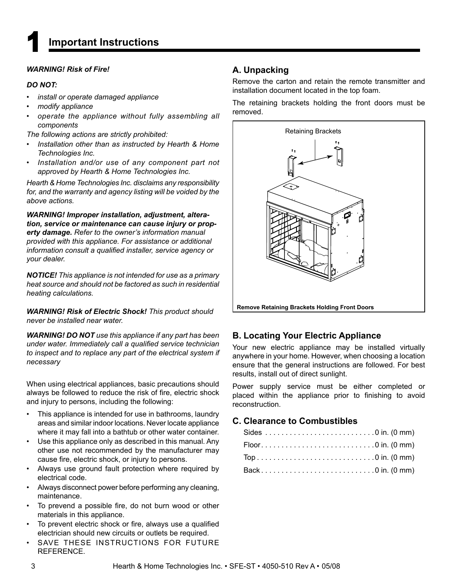#### *WARNING! Risk of Fire!*

#### *DO NOT:*

- *ï install or operate damaged appliance*
- *ï modify appliance*
- *ï operate the appliance without fully assembling all components*

*The following actions are strictly prohibited:*

- *ï Installation other than as instructed by Hearth & Home Technologies Inc.*
- *ï Installation and/or use of any component part not approved by Hearth & Home Technologies Inc.*

*Hearth & Home Technologies Inc. disclaims any responsibility for, and the warranty and agency listing will be voided by the above actions.*

*WARNING! Improper installation, adjustment, alteration, service or maintenance can cause injury or property damage. Refer to the owner's information manual provided with this appliance. For assistance or additional information consult a qualified installer, service agency or your dealer.*

*NOTICE! This appliance is not intended for use as a primary heat source and should not be factored as such in residential heating calculations.*

*WARNING! Risk of Electric Shock! This product should never be installed near water.*

*WARNING! DO NOT use this appliance if any part has been under water. Immediately call a qualified service technician to inspect and to replace any part of the electrical system if necessary*

When using electrical appliances, basic precautions should always be followed to reduce the risk of fire, electric shock and injury to persons, including the following:

- This appliance is intended for use in bathrooms, laundry areas and similar indoor locations. Never locate appliance where it may fall into a bathtub or other water container.
- Use this appliance only as described in this manual. Any other use not recommended by the manufacturer may cause fire, electric shock, or injury to persons.
- Always use ground fault protection where required by electrical code.
- Always disconnect power before performing any cleaning, maintenance.
- To prevend a possible fire, do not burn wood or other materials in this appliance.
- To prevent electric shock or fire, always use a qualified electrician should new circuits or outlets be required.
- SAVE THESE INSTRUCTIONS FOR FUTURE REFERENCE.

#### **A. Unpacking**

Remove the carton and retain the remote transmitter and installation document located in the top foam.

The retaining brackets holding the front doors must be removed.



#### **B. Locating Your Electric Appliance**

Your new electric appliance may be installed virtually anywhere in your home. However, when choosing a location ensure that the general instructions are followed. For best results, install out of direct sunlight.

Power supply service must be either completed or placed within the appliance prior to finishing to avoid reconstruction.

#### **C. Clearance to Combustibles**

| Back0 in. (0 mm) |  |
|------------------|--|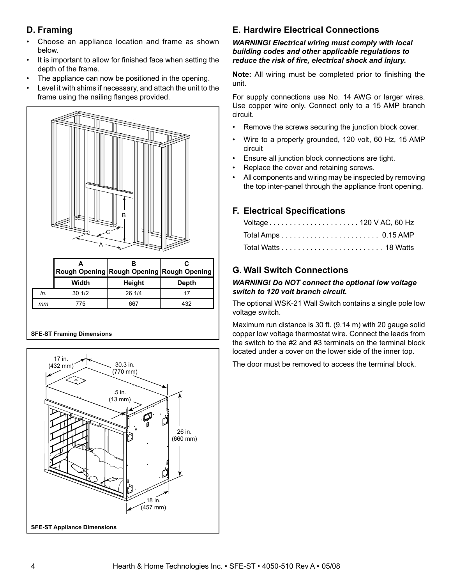#### **D. Framing**

- Choose an appliance location and frame as shown below.
- It is important to allow for finished face when setting the depth of the frame.
- The appliance can now be positioned in the opening.
- Level it with shims if necessary, and attach the unit to the frame using the nailing flanges provided.



#### **SFE-ST Framing Dimensions**



#### **E. Hardwire Electrical Connections**

#### *WARNING! Electrical wiring must comply with local building codes and other applicable regulations to reduce the risk of fi re, electrical shock and injury.*

**Note:** All wiring must be completed prior to finishing the unit.

For supply connections use No. 14 AWG or larger wires. Use copper wire only. Connect only to a 15 AMP branch circuit.

- Remove the screws securing the junction block cover.
- Wire to a properly grounded, 120 volt, 60 Hz, 15 AMP circuit
- Ensure all junction block connections are tight.
- Replace the cover and retaining screws.
- All components and wiring may be inspected by removing the top inter-panel through the appliance front opening.

#### **F. Electrical Specifi cations**

| Voltage120 V AC, 60 Hz |  |
|------------------------|--|
|                        |  |
|                        |  |

#### **G. Wall Switch Connections**

#### *WARNING! Do NOT connect the optional low voltage switch to 120 volt branch circuit.*

The optional WSK-21 Wall Switch contains a single pole low voltage switch.

Maximum run distance is 30 ft. (9.14 m) with 20 gauge solid copper low voltage thermostat wire. Connect the leads from the switch to the #2 and #3 terminals on the terminal block located under a cover on the lower side of the inner top.

The door must be removed to access the terminal block.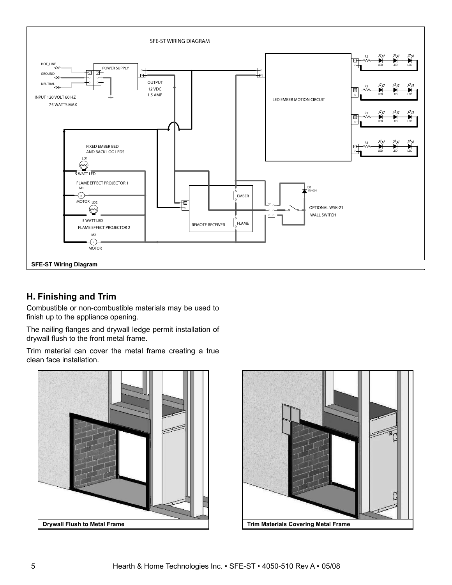

#### **H. Finishing and Trim**

Combustible or non-combustible materials may be used to finish up to the appliance opening.

The nailing flanges and drywall ledge permit installation of drywall flush to the front metal frame.

Trim material can cover the metal frame creating a true clean face installation.



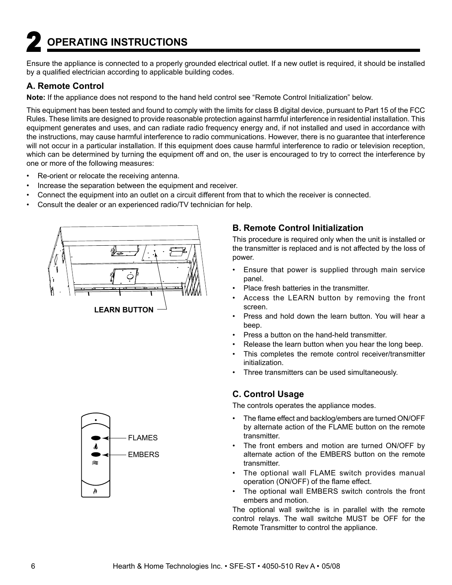# **2 OPERATING INSTRUCTIONS**

Ensure the appliance is connected to a properly grounded electrical outlet. If a new outlet is required, it should be installed by a qualified electrician according to applicable building codes.

#### **A. Remote Control**

**Note:** If the appliance does not respond to the hand held control see "Remote Control Initialization" below.

This equipment has been tested and found to comply with the limits for class B digital device, pursuant to Part 15 of the FCC Rules. These limits are designed to provide reasonable protection against harmful interference in residential installation. This equipment generates and uses, and can radiate radio frequency energy and, if not installed and used in accordance with the instructions, may cause harmful interference to radio communications. However, there is no guarantee that interference will not occur in a particular installation. If this equipment does cause harmful interference to radio or television reception, which can be determined by turning the equipment off and on, the user is encouraged to try to correct the interference by one or more of the following measures:

- Re-orient or relocate the receiving antenna.
- Increase the separation between the equipment and receiver.
- Connect the equipment into an outlet on a circuit different from that to which the receiver is connected.
- Consult the dealer or an experienced radio/TV technician for help.



#### **B. Remote Control Initialization**

This procedure is required only when the unit is installed or the transmitter is replaced and is not affected by the loss of power.

- Ensure that power is supplied through main service panel.
- Place fresh batteries in the transmitter.
- Access the LEARN button by removing the front screen.
- Press and hold down the learn button. You will hear a beep.
- Press a button on the hand-held transmitter.
- Release the learn button when you hear the long beep.
- This completes the remote control receiver/transmitter initialization.
- Three transmitters can be used simultaneously.

#### **C. Control Usage**

The controls operates the appliance modes.

- The flame effect and backlog/embers are turned ON/OFF by alternate action of the FLAME button on the remote transmitter.
- The front embers and motion are turned ON/OFF by alternate action of the EMBERS button on the remote transmitter.
- The optional wall FLAME switch provides manual operation (ON/OFF) of the flame effect.
- The optional wall EMBERS switch controls the front embers and motion.

The optional wall switche is in parallel with the remote control relays. The wall switche MUST be OFF for the Remote Transmitter to control the appliance.

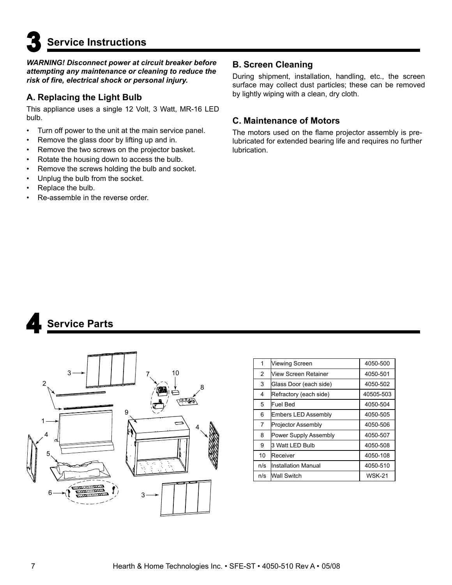**3 Service Instructions** 

*WARNING! Disconnect power at circuit breaker before attempting any maintenance or cleaning to reduce the risk of fi re, electrical shock or personal injury.*

#### **A. Replacing the Light Bulb**

This appliance uses a single 12 Volt, 3 Watt, MR-16 LED bulb.

- Turn off power to the unit at the main service panel.
- Remove the glass door by lifting up and in.
- Remove the two screws on the projector basket.
- Rotate the housing down to access the bulb.
- Remove the screws holding the bulb and socket.
- Unplug the bulb from the socket.
- Replace the bulb.
- Re-assemble in the reverse order.

#### **B. Screen Cleaning**

During shipment, installation, handling, etc., the screen surface may collect dust particles; these can be removed by lightly wiping with a clean, dry cloth.

#### **C. Maintenance of Motors**

The motors used on the flame projector assembly is prelubricated for extended bearing life and requires no further lubrication.





| 1              | Viewing Screen             | 4050-500      |
|----------------|----------------------------|---------------|
| $\overline{c}$ | Niew Screen Retainer       | 4050-501      |
| 3              | Glass Door (each side)     | 4050-502      |
| 4              | Refractory (each side)     | 40505-503     |
| 5              | lFuel Bed                  | 4050-504      |
| 6              | <b>Embers LED Assembly</b> | 4050-505      |
| 7              | Projector Assembly         | 4050-506      |
| 8              | Power Supply Assembly      | 4050-507      |
| 9              | 3 Watt LED Bulb            | 4050-508      |
| 10             | <b>IReceiver</b>           | 4050-108      |
| n/s            | llnstallation Manual       | 4050-510      |
| n/s            | Wall Switch                | <b>WSK-21</b> |